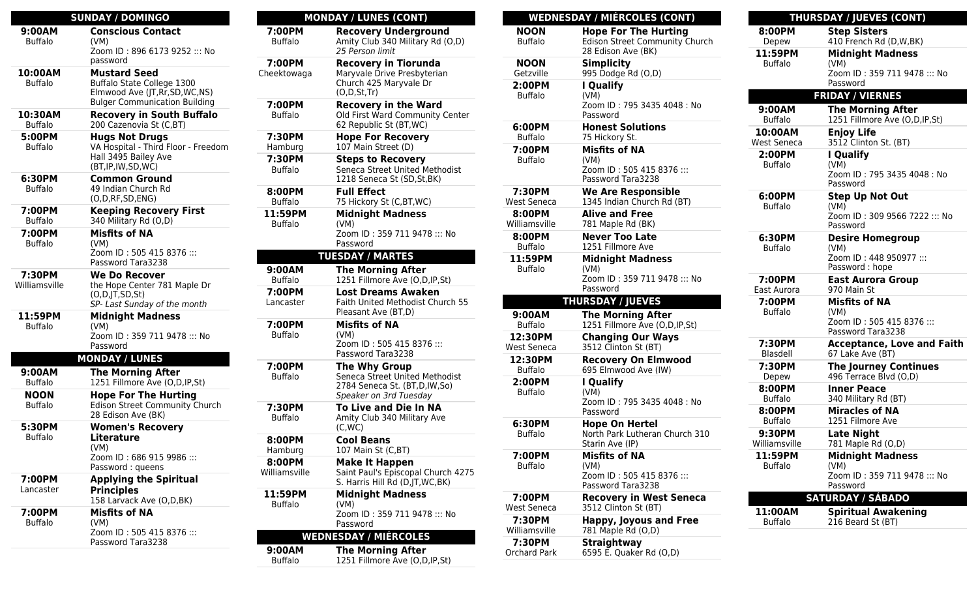| <b>SUNDAY / DOMINGO</b>       |                                                                                                                               |  |  |  |
|-------------------------------|-------------------------------------------------------------------------------------------------------------------------------|--|--|--|
| 9:00AM                        | <b>Conscious Contact</b>                                                                                                      |  |  |  |
| <b>Buffalo</b>                | (VM)<br>Zoom ID: 896 6173 9252 ::: No<br>password                                                                             |  |  |  |
| 10:00AM<br><b>Buffalo</b>     | <b>Mustard Seed</b><br>Buffalo State College 1300<br>Elmwood Ave (JT, Rr, SD, WC, NS)<br><b>Bulger Communication Building</b> |  |  |  |
| 10:30AM<br><b>Buffalo</b>     | <b>Recovery in South Buffalo</b><br>200 Cazenovia St (C,BT)                                                                   |  |  |  |
| 5:00PM<br><b>Buffalo</b>      | <b>Hugs Not Drugs</b><br>VA Hospital - Third Floor - Freedom<br>Hall 3495 Bailey Ave<br>(BT, IP, IW, SD, WC)                  |  |  |  |
| 6:30PM<br><b>Buffalo</b>      | <b>Common Ground</b><br>49 Indian Church Rd<br>(O,D,RF,SD,ENG)                                                                |  |  |  |
| 7:00PM<br><b>Buffalo</b>      | <b>Keeping Recovery First</b><br>340 Military Rd (O,D)                                                                        |  |  |  |
| 7:00PM<br><b>Buffalo</b>      | <b>Misfits of NA</b><br>(VM)<br>Zoom ID: 505 415 8376 :::<br>Password Tara3238                                                |  |  |  |
| 7:30PM<br>Williamsville       | <b>We Do Recover</b><br>the Hope Center 781 Maple Dr<br>(O,D,JT,SD,St)<br>SP- Last Sunday of the month                        |  |  |  |
| 11:59PM<br><b>Buffalo</b>     | <b>Midnight Madness</b><br>(VM)<br>Zoom ID: 359 711 9478 ::: No<br>Password                                                   |  |  |  |
|                               | <b>MONDAY / LUNES</b>                                                                                                         |  |  |  |
| 9:00AM<br><b>Buffalo</b>      | <b>The Morning After</b><br>1251 Fillmore Ave (O,D,IP,St)                                                                     |  |  |  |
| <b>NOON</b><br><b>Buffalo</b> | <b>Hope For The Hurting</b><br><b>Edison Street Community Church</b><br>28 Edison Ave (BK)                                    |  |  |  |
| 5:30PM<br><b>Buffalo</b>      | <b>Women's Recovery</b><br>Literature<br>(VM)<br>Zoom ID: 686 915 9986 :::<br>Password: queens                                |  |  |  |
| 7:00PM<br>Lancaster           | <b>Applying the Spiritual</b><br><b>Principles</b><br>158 Larvack Ave (O,D,BK)                                                |  |  |  |
| 7:00PM<br><b>Buffalo</b>      | <b>Misfits of NA</b><br>(VM)<br>Zoom ID: 505 415 8376 :::<br>Password Tara3238                                                |  |  |  |
|                               |                                                                                                                               |  |  |  |

| <b>MONDAY / LUNES (CONT)</b> |                                                                                                                  |  |  |  |
|------------------------------|------------------------------------------------------------------------------------------------------------------|--|--|--|
| 7:00PM<br><b>Buffalo</b>     | <b>Recovery Underground</b><br>Amity Club 340 Military Rd (O,D)<br>25 Person limit                               |  |  |  |
| 7:00PM<br>Cheektowaga        | <b>Recovery in Tiorunda</b><br>Maryvale Drive Presbyterian<br>Church 425 Maryvale Dr<br>(O,D, St, Tr)            |  |  |  |
| 7:00PM<br><b>Buffalo</b>     | <b>Recovery in the Ward</b><br>Old First Ward Community Center<br>62 Republic St (BT, WC)                        |  |  |  |
| 7:30PM<br>Hamburg            | <b>Hope For Recovery</b><br>107 Main Street (D)                                                                  |  |  |  |
| 7:30PM<br><b>Buffalo</b>     | <b>Steps to Recovery</b><br>Seneca Street United Methodist<br>1218 Seneca St (SD, St, BK)                        |  |  |  |
| 8:00PM<br><b>Buffalo</b>     | <b>Full Effect</b><br>75 Hickory St (C,BT,WC)                                                                    |  |  |  |
| 11:59PM<br><b>Buffalo</b>    | <b>Midnight Madness</b><br>(VM)<br>Zoom ID: 359 711 9478 ::: No<br>Password                                      |  |  |  |
| <b>TUESDAY / MARTES</b>      |                                                                                                                  |  |  |  |
| 9:00AM<br><b>Buffalo</b>     | <b>The Morning After</b><br>1251 Fillmore Ave (O,D,IP,St)                                                        |  |  |  |
| 7:00PM<br>Lancaster          | <b>Lost Dreams Awaken</b><br>Faith United Methodist Church 55<br>Pleasant Ave (BT,D)                             |  |  |  |
| 7:00PM<br><b>Buffalo</b>     | <b>Misfits of NA</b><br>(VM)<br>Zoom ID: 505 415 8376 :::<br>Password Tara3238                                   |  |  |  |
| 7:00PM<br><b>Buffalo</b>     | <b>The Why Group</b><br>Seneca Street United Methodist<br>2784 Seneca St. (BT,D,IW,So)<br>Speaker on 3rd Tuesday |  |  |  |
| 7:30PM<br><b>Buffalo</b>     | To Live and Die In NA<br>Amity Club 340 Military Ave<br>(C,WC)                                                   |  |  |  |
| 8:00PM<br>Hamburg            | Cool Beans<br>107 Main St (C,BT)                                                                                 |  |  |  |
| 8:00PM<br>Williamsville      | <b>Make It Happen</b><br>Saint Paul's Episcopal Church 4275<br>S. Harris Hill Rd (D, JT, WC, BK)                 |  |  |  |
| 11:59PM<br><b>Buffalo</b>    | <b>Midnight Madness</b><br>(VM)<br>Zoom ID: 359 711 9478 ::: No<br>Password                                      |  |  |  |
| <b>WEDNESDAY / MIÉRCOLES</b> |                                                                                                                  |  |  |  |
| 9:00AM<br><b>Buffalo</b>     | <b>The Morning After</b><br>1251 Fillmore Ave (O,D,IP,St)                                                        |  |  |  |

|                           | <b>WEDNESDAY / MIÉRCOLES (CONT)</b>       |             |
|---------------------------|-------------------------------------------|-------------|
| <b>NOON</b>               | <b>Hope For The Hurting</b>               | 8:00        |
| <b>Buffalo</b>            | <b>Edison Street Community Church</b>     | Dep         |
|                           | 28 Edison Ave (BK)                        | 11:5        |
| <b>NOON</b><br>Getzville  | <b>Simplicity</b><br>995 Dodge Rd (O,D)   | Buff        |
| 2:00PM                    | I Qualify                                 |             |
| <b>Buffalo</b>            | (VM)                                      |             |
|                           | Zoom ID: 795 3435 4048 : No               | 9:00        |
|                           | Password                                  | Buff        |
| 6:00PM<br><b>Buffalo</b>  | <b>Honest Solutions</b><br>75 Hickory St. | 10:0        |
|                           |                                           | West S      |
| 7:00PM<br><b>Buffalo</b>  | <b>Misfits of NA</b><br>(VM)              | 2:00        |
|                           | Zoom ID: 505 415 8376 :::                 | Buff        |
|                           | Password Tara3238                         |             |
| 7:30PM                    | <b>We Are Responsible</b>                 | 6:00        |
| <b>West Seneca</b>        | 1345 Indian Church Rd (BT)                | Buff        |
| 8:00PM                    | <b>Alive and Free</b>                     |             |
| Williamsville             | 781 Maple Rd (BK)                         |             |
| 8:00PM                    | <b>Never Too Late</b>                     | 6:30        |
| <b>Buffalo</b>            | 1251 Fillmore Ave                         | Buff        |
| 11:59PM<br><b>Buffalo</b> | <b>Midnight Madness</b><br>(VM)           |             |
|                           | Zoom ID: 359 711 9478 ::: No              | 7:00        |
|                           | Password                                  | East A      |
|                           | <b>THURSDAY / JUEVES</b>                  | 7:00        |
| 9:00AM                    | <b>The Morning After</b>                  | Buff        |
| <b>Buffalo</b>            | 1251 Fillmore Ave (O,D,IP,St)             |             |
| 12:30PM                   | <b>Changing Our Ways</b>                  | 7:30        |
| West Seneca               | 3512 Clinton St (BT)                      | <b>Blas</b> |
| 12:30PM                   | <b>Recovery On Elmwood</b>                | 7:30        |
| <b>Buffalo</b>            | 695 Elmwood Ave (IW)                      | Dep         |
| 2:00PM                    | I Qualify                                 | 8:00        |
| <b>Buffalo</b>            | (VM)<br>Zoom ID: 795 3435 4048: No        | Buff        |
|                           | Password                                  | 8:00        |
| 6:30PM                    | <b>Hope On Hertel</b>                     | Buff        |
| <b>Buffalo</b>            | North Park Lutheran Church 310            | 9:30        |
|                           | Starin Ave (IP)                           | Willian     |
| 7:00PM                    | <b>Misfits of NA</b>                      | 11:5        |
| <b>Buffalo</b>            | (VM)<br>Zoom ID: 505 415 8376 :::         | Buff        |
|                           | Password Tara3238                         |             |
| 7:00PM                    | <b>Recovery in West Seneca</b>            |             |
| West Seneca               | 3512 Clinton St (BT)                      | 11:0        |
| 7:30PM                    | <b>Happy, Joyous and Free</b>             | Buff        |
| Williamsville             | 781 Maple Rd (O,D)                        |             |
| 7:30PM                    | <b>Straightway</b>                        |             |
| Orchard Park              | 6595 E. Quaker Rd (O,D)                   |             |

| <b>THURSDAY / JUEVES (CONT)</b> |                                                |  |  |
|---------------------------------|------------------------------------------------|--|--|
| 8:00PM                          | <b>Step Sisters</b>                            |  |  |
| Depew                           | 410 French Rd (D,W,BK)                         |  |  |
| 11:59PM                         | <b>Midnight Madness</b>                        |  |  |
| <b>Buffalo</b>                  | (VM)<br>Zoom ID: 359 711 9478 ::: No           |  |  |
|                                 | Password                                       |  |  |
|                                 | <b>FRIDAY / VIERNES</b>                        |  |  |
| 9:00AM                          | <b>The Morning After</b>                       |  |  |
| <b>Buffalo</b>                  | 1251 Fillmore Ave (O,D,IP,St)                  |  |  |
| 10:00AM                         | <b>Enjoy Life</b>                              |  |  |
| West Seneca                     | 3512 Clinton St. (BT)                          |  |  |
| 2:00PM<br><b>Buffalo</b>        | I Qualify<br>(VM)                              |  |  |
|                                 | Zoom ID: 795 3435 4048 : No                    |  |  |
|                                 | Password                                       |  |  |
| 6:00PM                          | <b>Step Up Not Out</b>                         |  |  |
| <b>Buffalo</b>                  | (VM)<br>Zoom ID: 309 9566 7222 ::: No          |  |  |
|                                 | Password                                       |  |  |
| 6:30PM                          | <b>Desire Homegroup</b>                        |  |  |
| <b>Buffalo</b>                  | (VM)                                           |  |  |
|                                 | Zoom ID: 448 950977 :::                        |  |  |
| 7:00PM                          | Password: hope<br><b>East Aurora Group</b>     |  |  |
| East Aurora                     | 970 Main St                                    |  |  |
| 7:00PM                          | <b>Misfits of NA</b>                           |  |  |
| <b>Buffalo</b>                  | (VM)                                           |  |  |
|                                 | Zoom ID: 505 415 8376 :::<br>Password Tara3238 |  |  |
| 7:30PM                          | <b>Acceptance, Love and Faith</b>              |  |  |
| Blasdell                        | 67 Lake Ave (BT)                               |  |  |
| 7:30PM                          | <b>The Journey Continues</b>                   |  |  |
| Depew                           | 496 Terrace Blvd (O,D)                         |  |  |
| 8:00PM                          | <b>Inner Peace</b>                             |  |  |
| <b>Buffalo</b>                  | 340 Military Rd (BT)                           |  |  |
| 8:00PM<br><b>Buffalo</b>        | <b>Miracles of NA</b><br>1251 Filmore Ave      |  |  |
| 9:30PM                          | <b>Late Night</b>                              |  |  |
| Williamsville                   | 781 Maple Rd (O,D)                             |  |  |
| 11:59PM                         | <b>Midnight Madness</b>                        |  |  |
| <b>Buffalo</b>                  | (VM)                                           |  |  |
|                                 | Zoom ID: 359 711 9478 ::: No<br>Password       |  |  |
|                                 | <b>SATURDAY / SÁBADO</b>                       |  |  |
| 11:00AM                         | <b>Spiritual Awakening</b>                     |  |  |
| <b>Buffalo</b>                  | 216 Beard St (BT)                              |  |  |
|                                 |                                                |  |  |